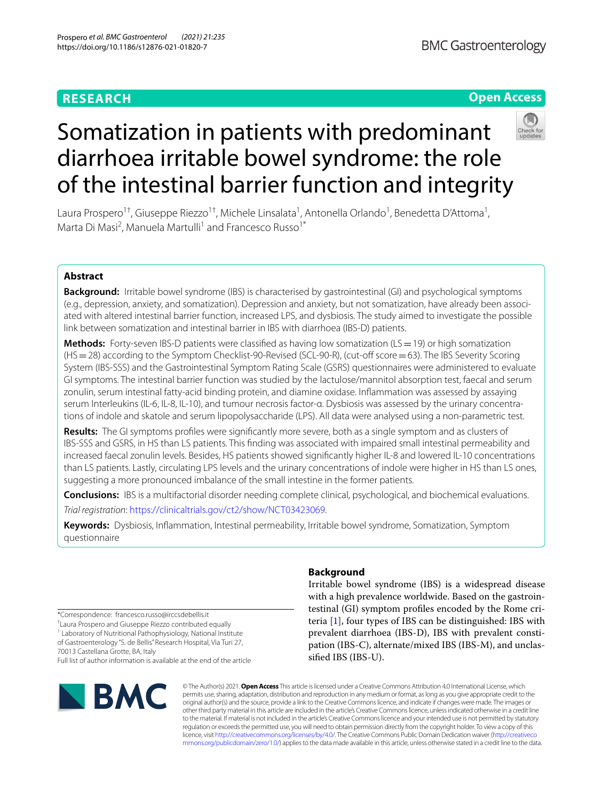# **RESEARCH**

# **Open Access**



# Somatization in patients with predominant diarrhoea irritable bowel syndrome: the role of the intestinal barrier function and integrity

Laura Prospero<sup>1†</sup>, Giuseppe Riezzo<sup>1†</sup>, Michele Linsalata<sup>1</sup>, Antonella Orlando<sup>1</sup>, Benedetta D'Attoma<sup>1</sup>, Marta Di Masi<sup>2</sup>, Manuela Martulli<sup>1</sup> and Francesco Russo<sup>1\*</sup>

# **Abstract**

**Background:** Irritable bowel syndrome (IBS) is characterised by gastrointestinal (GI) and psychological symptoms (e.g., depression, anxiety, and somatization). Depression and anxiety, but not somatization, have already been associated with altered intestinal barrier function, increased LPS, and dysbiosis. The study aimed to investigate the possible link between somatization and intestinal barrier in IBS with diarrhoea (IBS-D) patients.

**Methods:** Forty-seven IBS-D patients were classified as having low somatization ( $LS = 19$ ) or high somatization (HS=28) according to the Symptom Checklist-90-Revised (SCL-90-R), (cut-of score=63). The IBS Severity Scoring System (IBS-SSS) and the Gastrointestinal Symptom Rating Scale (GSRS) questionnaires were administered to evaluate GI symptoms. The intestinal barrier function was studied by the lactulose/mannitol absorption test, faecal and serum zonulin, serum intestinal fatty-acid binding protein, and diamine oxidase. Infammation was assessed by assaying serum Interleukins (IL-6, IL-8, IL-10), and tumour necrosis factor-α. Dysbiosis was assessed by the urinary concentrations of indole and skatole and serum lipopolysaccharide (LPS). All data were analysed using a non-parametric test.

**Results:** The GI symptoms profles were signifcantly more severe, both as a single symptom and as clusters of IBS-SSS and GSRS, in HS than LS patients. This fnding was associated with impaired small intestinal permeability and increased faecal zonulin levels. Besides, HS patients showed signifcantly higher IL-8 and lowered IL-10 concentrations than LS patients. Lastly, circulating LPS levels and the urinary concentrations of indole were higher in HS than LS ones, suggesting a more pronounced imbalance of the small intestine in the former patients.

**Conclusions:** IBS is a multifactorial disorder needing complete clinical, psychological, and biochemical evaluations.

*Trial registration*:<https://clinicaltrials.gov/ct2/show/NCT03423069>.

**Keywords:** Dysbiosis, Infammation, Intestinal permeability, Irritable bowel syndrome, Somatization, Symptom questionnaire

\*Correspondence: francesco.russo@irccsdebellis.it

† Laura Prospero and Giuseppe Riezzo contributed equally

<sup>1</sup> Laboratory of Nutritional Pathophysiology, National Institute of Gastroenterology "S. de Bellis" Research Hospital, Via Turi 27,

70013 Castellana Grotte, BA, Italy

Full list of author information is available at the end of the article



# **Background**

Irritable bowel syndrome (IBS) is a widespread disease with a high prevalence worldwide. Based on the gastrointestinal (GI) symptom profles encoded by the Rome criteria [\[1](#page-8-0)], four types of IBS can be distinguished: IBS with prevalent diarrhoea (IBS-D), IBS with prevalent constipation (IBS-C), alternate/mixed IBS (IBS-M), and unclassifed IBS (IBS-U).

© The Author(s) 2021. **Open Access** This article is licensed under a Creative Commons Attribution 4.0 International License, which permits use, sharing, adaptation, distribution and reproduction in any medium or format, as long as you give appropriate credit to the original author(s) and the source, provide a link to the Creative Commons licence, and indicate if changes were made. The images or other third party material in this article are included in the article's Creative Commons licence, unless indicated otherwise in a credit line to the material. If material is not included in the article's Creative Commons licence and your intended use is not permitted by statutory regulation or exceeds the permitted use, you will need to obtain permission directly from the copyright holder. To view a copy of this licence, visit [http://creativecommons.org/licenses/by/4.0/.](http://creativecommons.org/licenses/by/4.0/) The Creative Commons Public Domain Dedication waiver ([http://creativeco](http://creativecommons.org/publicdomain/zero/1.0/) [mmons.org/publicdomain/zero/1.0/](http://creativecommons.org/publicdomain/zero/1.0/)) applies to the data made available in this article, unless otherwise stated in a credit line to the data.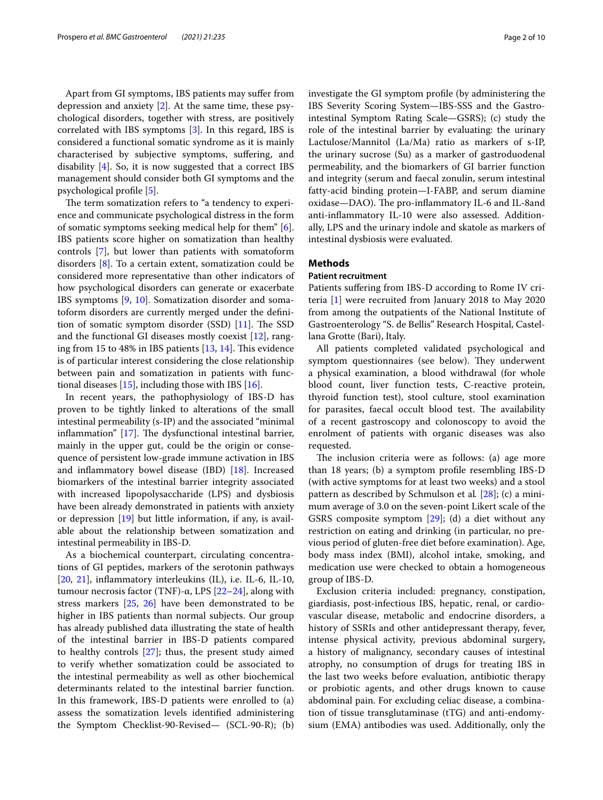Apart from GI symptoms, IBS patients may sufer from depression and anxiety [\[2](#page-8-1)]. At the same time, these psychological disorders, together with stress, are positively correlated with IBS symptoms [[3\]](#page-8-2). In this regard, IBS is considered a functional somatic syndrome as it is mainly characterised by subjective symptoms, sufering, and disability [\[4](#page-8-3)]. So, it is now suggested that a correct IBS management should consider both GI symptoms and the psychological profle [\[5](#page-8-4)].

The term somatization refers to "a tendency to experience and communicate psychological distress in the form of somatic symptoms seeking medical help for them" [\[6](#page-8-5)]. IBS patients score higher on somatization than healthy controls [[7\]](#page-8-6), but lower than patients with somatoform disorders [\[8\]](#page-8-7). To a certain extent, somatization could be considered more representative than other indicators of how psychological disorders can generate or exacerbate IBS symptoms [[9,](#page-8-8) [10](#page-8-9)]. Somatization disorder and somatoform disorders are currently merged under the defnition of somatic symptom disorder  $(SSD)$  [\[11\]](#page-8-10). The SSD and the functional GI diseases mostly coexist [\[12](#page-8-11)], ranging from 15 to 48% in IBS patients  $[13, 14]$  $[13, 14]$  $[13, 14]$ . This evidence is of particular interest considering the close relationship between pain and somatization in patients with functional diseases  $[15]$ , including those with IBS  $[16]$  $[16]$ .

In recent years, the pathophysiology of IBS-D has proven to be tightly linked to alterations of the small intestinal permeability (s-IP) and the associated "minimal inflammation"  $[17]$ . The dysfunctional intestinal barrier, mainly in the upper gut, could be the origin or consequence of persistent low-grade immune activation in IBS and infammatory bowel disease (IBD) [[18\]](#page-8-17). Increased biomarkers of the intestinal barrier integrity associated with increased lipopolysaccharide (LPS) and dysbiosis have been already demonstrated in patients with anxiety or depression [[19\]](#page-8-18) but little information, if any, is available about the relationship between somatization and intestinal permeability in IBS-D.

As a biochemical counterpart, circulating concentrations of GI peptides, markers of the serotonin pathways [[20,](#page-8-19) [21](#page-8-20)], infammatory interleukins (IL), i.e. IL-6, IL-10, tumour necrosis factor (TNF)-α, LPS  $[22-24]$  $[22-24]$  $[22-24]$ , along with stress markers [\[25,](#page-8-23) [26](#page-8-24)] have been demonstrated to be higher in IBS patients than normal subjects. Our group has already published data illustrating the state of health of the intestinal barrier in IBS-D patients compared to healthy controls [[27\]](#page-8-25); thus, the present study aimed to verify whether somatization could be associated to the intestinal permeability as well as other biochemical determinants related to the intestinal barrier function. In this framework, IBS-D patients were enrolled to (a) assess the somatization levels identifed administering the Symptom Checklist-90-Revised— (SCL-90-R); (b) investigate the GI symptom profle (by administering the IBS Severity Scoring System—IBS-SSS and the Gastrointestinal Symptom Rating Scale—GSRS); (c) study the role of the intestinal barrier by evaluating: the urinary Lactulose/Mannitol (La/Ma) ratio as markers of s-IP, the urinary sucrose (Su) as a marker of gastroduodenal permeability, and the biomarkers of GI barrier function and integrity (serum and faecal zonulin, serum intestinal fatty-acid binding protein—I-FABP, and serum diamine oxidase-DAO). The pro-inflammatory IL-6 and IL-8and anti-infammatory IL-10 were also assessed. Additionally, LPS and the urinary indole and skatole as markers of intestinal dysbiosis were evaluated.

# **Methods**

# **Patient recruitment**

Patients sufering from IBS-D according to Rome IV criteria [[1\]](#page-8-0) were recruited from January 2018 to May 2020 from among the outpatients of the National Institute of Gastroenterology "S. de Bellis" Research Hospital, Castellana Grotte (Bari), Italy.

All patients completed validated psychological and symptom questionnaires (see below). They underwent a physical examination, a blood withdrawal (for whole blood count, liver function tests, C-reactive protein, thyroid function test), stool culture, stool examination for parasites, faecal occult blood test. The availability of a recent gastroscopy and colonoscopy to avoid the enrolment of patients with organic diseases was also requested.

The inclusion criteria were as follows: (a) age more than 18 years; (b) a symptom profle resembling IBS-D (with active symptoms for at least two weeks) and a stool pattern as described by Schmulson et al*.* [\[28](#page-8-26)]; (c) a minimum average of 3.0 on the seven-point Likert scale of the GSRS composite symptom [[29\]](#page-8-27); (d) a diet without any restriction on eating and drinking (in particular, no previous period of gluten-free diet before examination). Age, body mass index (BMI), alcohol intake, smoking, and medication use were checked to obtain a homogeneous group of IBS-D.

Exclusion criteria included: pregnancy, constipation, giardiasis, post-infectious IBS, hepatic, renal, or cardiovascular disease, metabolic and endocrine disorders, a history of SSRIs and other antidepressant therapy, fever, intense physical activity, previous abdominal surgery, a history of malignancy, secondary causes of intestinal atrophy, no consumption of drugs for treating IBS in the last two weeks before evaluation, antibiotic therapy or probiotic agents, and other drugs known to cause abdominal pain. For excluding celiac disease, a combination of tissue transglutaminase (tTG) and anti-endomysium (EMA) antibodies was used. Additionally, only the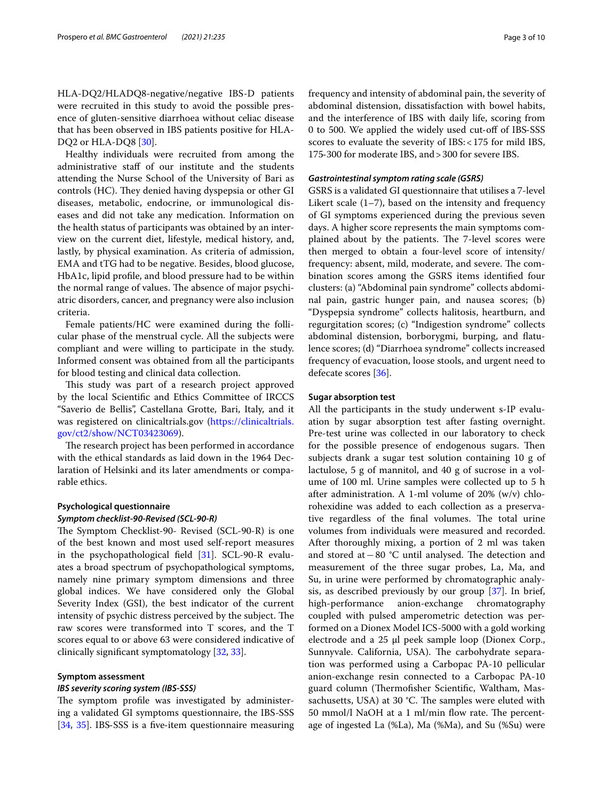HLA-DQ2/HLADQ8-negative/negative IBS-D patients were recruited in this study to avoid the possible presence of gluten-sensitive diarrhoea without celiac disease that has been observed in IBS patients positive for HLA-DQ2 or HLA-DQ8 [[30\]](#page-8-28).

Healthy individuals were recruited from among the administrative staf of our institute and the students attending the Nurse School of the University of Bari as controls (HC). They denied having dyspepsia or other GI diseases, metabolic, endocrine, or immunological diseases and did not take any medication. Information on the health status of participants was obtained by an interview on the current diet, lifestyle, medical history, and, lastly, by physical examination. As criteria of admission, EMA and tTG had to be negative. Besides, blood glucose, HbA1c, lipid profle, and blood pressure had to be within the normal range of values. The absence of major psychiatric disorders, cancer, and pregnancy were also inclusion criteria.

Female patients/HC were examined during the follicular phase of the menstrual cycle. All the subjects were compliant and were willing to participate in the study. Informed consent was obtained from all the participants for blood testing and clinical data collection.

This study was part of a research project approved by the local Scientifc and Ethics Committee of IRCCS "Saverio de Bellis", Castellana Grotte, Bari, Italy, and it was registered on clinicaltrials.gov ([https://clinicaltrials.](https://clinicaltrials.gov/ct2/show/NCT03423069) [gov/ct2/show/NCT03423069](https://clinicaltrials.gov/ct2/show/NCT03423069)).

The research project has been performed in accordance with the ethical standards as laid down in the 1964 Declaration of Helsinki and its later amendments or comparable ethics.

# **Psychological questionnaire** *Symptom checklist‑90‑Revised (SCL‑90‑R)*

The Symptom Checklist-90- Revised (SCL-90-R) is one of the best known and most used self-report measures in the psychopathological feld [[31\]](#page-8-29). SCL-90-R evaluates a broad spectrum of psychopathological symptoms, namely nine primary symptom dimensions and three global indices. We have considered only the Global Severity Index (GSI), the best indicator of the current intensity of psychic distress perceived by the subject. The raw scores were transformed into T scores, and the T scores equal to or above 63 were considered indicative of clinically signifcant symptomatology [[32,](#page-8-30) [33\]](#page-8-31).

# **Symptom assessment**

# *IBS severity scoring system (IBS‑SSS)*

The symptom profile was investigated by administering a validated GI symptoms questionnaire, the IBS-SSS [[34,](#page-8-32) [35](#page-9-0)]. IBS-SSS is a five-item questionnaire measuring

frequency and intensity of abdominal pain, the severity of abdominal distension, dissatisfaction with bowel habits, and the interference of IBS with daily life, scoring from 0 to 500. We applied the widely used cut-off of IBS-SSS scores to evaluate the severity of IBS:<175 for mild IBS, 175‐300 for moderate IBS, and>300 for severe IBS.

# *Gastrointestinal symptom rating scale (GSRS)*

GSRS is a validated GI questionnaire that utilises a 7-level Likert scale (1–7), based on the intensity and frequency of GI symptoms experienced during the previous seven days. A higher score represents the main symptoms complained about by the patients. The 7-level scores were then merged to obtain a four-level score of intensity/ frequency: absent, mild, moderate, and severe. The combination scores among the GSRS items identifed four clusters: (a) "Abdominal pain syndrome" collects abdominal pain, gastric hunger pain, and nausea scores; (b) "Dyspepsia syndrome" collects halitosis, heartburn, and regurgitation scores; (c) "Indigestion syndrome" collects abdominal distension, borborygmi, burping, and fatulence scores; (d) "Diarrhoea syndrome" collects increased frequency of evacuation, loose stools, and urgent need to defecate scores [[36](#page-9-1)].

#### **Sugar absorption test**

All the participants in the study underwent s-IP evaluation by sugar absorption test after fasting overnight. Pre-test urine was collected in our laboratory to check for the possible presence of endogenous sugars. Then subjects drank a sugar test solution containing 10 g of lactulose, 5 g of mannitol, and 40 g of sucrose in a volume of 100 ml. Urine samples were collected up to 5 h after administration. A 1-ml volume of 20% (w/v) chlorohexidine was added to each collection as a preservative regardless of the final volumes. The total urine volumes from individuals were measured and recorded. After thoroughly mixing, a portion of 2 ml was taken and stored at −80 °C until analysed. The detection and measurement of the three sugar probes, La, Ma, and Su, in urine were performed by chromatographic analysis, as described previously by our group [[37\]](#page-9-2). In brief, high-performance anion-exchange chromatography coupled with pulsed amperometric detection was performed on a Dionex Model ICS-5000 with a gold working electrode and a 25 μl peek sample loop (Dionex Corp., Sunnyvale. California, USA). The carbohydrate separation was performed using a Carbopac PA-10 pellicular anion-exchange resin connected to a Carbopac PA-10 guard column (Thermofisher Scientific, Waltham, Massachusetts, USA) at 30  $°C$ . The samples were eluted with 50 mmol/l NaOH at a 1 ml/min flow rate. The percentage of ingested La (%La), Ma (%Ma), and Su (%Su) were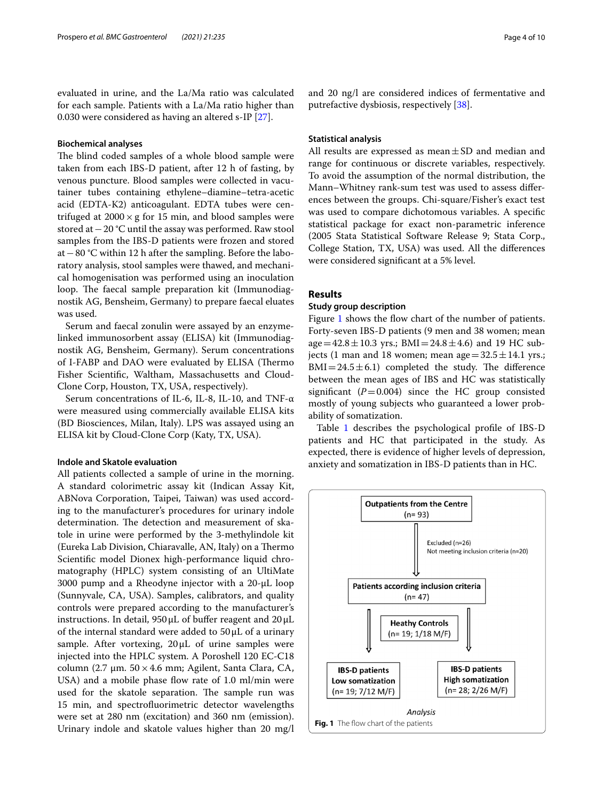evaluated in urine, and the La/Ma ratio was calculated for each sample. Patients with a La/Ma ratio higher than 0.030 were considered as having an altered s-IP [[27](#page-8-25)].

# **Biochemical analyses**

The blind coded samples of a whole blood sample were taken from each IBS-D patient, after 12 h of fasting, by venous puncture. Blood samples were collected in vacutainer tubes containing ethylene–diamine–tetra-acetic acid (EDTA-K2) anticoagulant. EDTA tubes were centrifuged at  $2000 \times g$  for 15 min, and blood samples were stored at−20 °C until the assay was performed. Raw stool samples from the IBS-D patients were frozen and stored at−80 °C within 12 h after the sampling. Before the laboratory analysis, stool samples were thawed, and mechanical homogenisation was performed using an inoculation loop. The faecal sample preparation kit (Immunodiagnostik AG, Bensheim, Germany) to prepare faecal eluates was used.

Serum and faecal zonulin were assayed by an enzymelinked immunosorbent assay (ELISA) kit (Immunodiagnostik AG, Bensheim, Germany). Serum concentrations of I-FABP and DAO were evaluated by ELISA (Thermo Fisher Scientifc, Waltham, Massachusetts and Cloud-Clone Corp, Houston, TX, USA, respectively).

Serum concentrations of IL-6, IL-8, IL-10, and TNF-α were measured using commercially available ELISA kits (BD Biosciences, Milan, Italy). LPS was assayed using an ELISA kit by Cloud-Clone Corp (Katy, TX, USA).

# **Indole and Skatole evaluation**

All patients collected a sample of urine in the morning. A standard colorimetric assay kit (Indican Assay Kit, ABNova Corporation, Taipei, Taiwan) was used according to the manufacturer's procedures for urinary indole determination. The detection and measurement of skatole in urine were performed by the 3-methylindole kit (Eureka Lab Division, Chiaravalle, AN, Italy) on a Thermo Scientifc model Dionex high-performance liquid chromatography (HPLC) system consisting of an UltiMate 3000 pump and a Rheodyne injector with a 20-µL loop (Sunnyvale, CA, USA). Samples, calibrators, and quality controls were prepared according to the manufacturer's instructions. In detail,  $950 \mu L$  of buffer reagent and  $20 \mu L$ of the internal standard were added to  $50 \mu L$  of a urinary sample. After vortexing,  $20 \mu L$  of urine samples were injected into the HPLC system. A Poroshell 120 EC-C18 column (2.7 µm.  $50 \times 4.6$  mm; Agilent, Santa Clara, CA, USA) and a mobile phase flow rate of 1.0 ml/min were used for the skatole separation. The sample run was 15 min, and spectrofuorimetric detector wavelengths were set at 280 nm (excitation) and 360 nm (emission). Urinary indole and skatole values higher than 20 mg/l and 20 ng/l are considered indices of fermentative and putrefactive dysbiosis, respectively [\[38](#page-9-3)].

# **Statistical analysis**

All results are expressed as mean $\pm$ SD and median and range for continuous or discrete variables, respectively. To avoid the assumption of the normal distribution, the Mann–Whitney rank-sum test was used to assess diferences between the groups. Chi-square/Fisher's exact test was used to compare dichotomous variables. A specifc statistical package for exact non-parametric inference (2005 Stata Statistical Software Release 9; Stata Corp., College Station, TX, USA) was used. All the diferences were considered signifcant at a 5% level.

# **Results**

# **Study group description**

Figure [1](#page-3-0) shows the flow chart of the number of patients. Forty-seven IBS-D patients (9 men and 38 women; mean  $age = 42.8 \pm 10.3$  yrs.; BMI = 24.8  $\pm$  4.6) and 19 HC subjects (1 man and 18 women; mean age =  $32.5 \pm 14.1$  yrs.;  $BMI = 24.5 \pm 6.1$ ) completed the study. The difference between the mean ages of IBS and HC was statistically significant  $(P=0.004)$  since the HC group consisted mostly of young subjects who guaranteed a lower probability of somatization.

Table [1](#page-4-0) describes the psychological profle of IBS-D patients and HC that participated in the study. As expected, there is evidence of higher levels of depression, anxiety and somatization in IBS-D patients than in HC.

<span id="page-3-0"></span>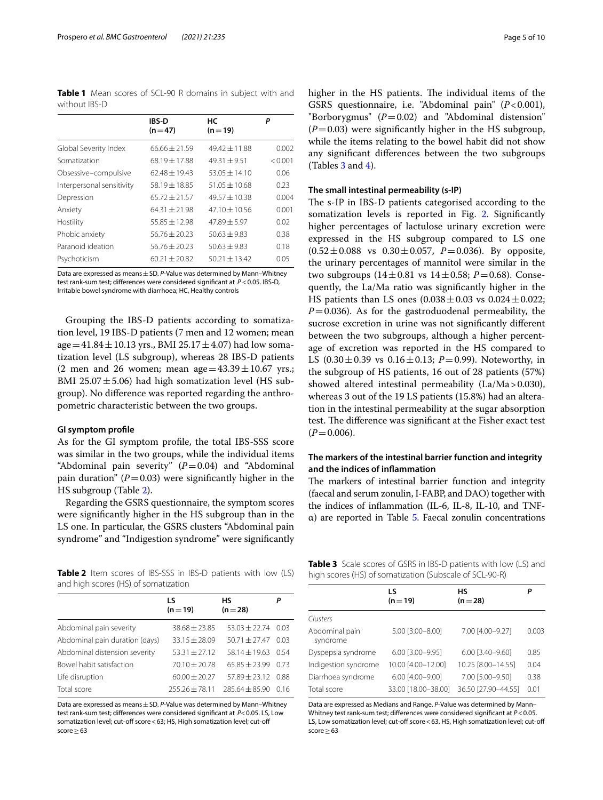<span id="page-4-0"></span>**Table 1** Mean scores of SCL-90 R domains in subject with and without IBS-D

|                           | <b>IBS-D</b><br>$(n=47)$ | НC<br>$(n=19)$    | P       |
|---------------------------|--------------------------|-------------------|---------|
|                           |                          |                   |         |
| Global Severity Index     | $66.66 + 21.59$          | $49.42 \pm 11.88$ | 0.002   |
| Somatization              | $68.19 \pm 17.88$        | $49.31 + 9.51$    | < 0.001 |
| Obsessive-compulsive      | $62.48 + 19.43$          | $53.05 \pm 14.10$ | 0.06    |
| Interpersonal sensitivity | $58.19 + 18.85$          | $51.05 \pm 10.68$ | 0.23    |
| Depression                | $65.72 + 21.57$          | $49.57 \pm 10.38$ | 0.004   |
| Anxiety                   | $64.31 + 21.98$          | $47.10 \pm 10.56$ | 0.001   |
| Hostility                 | $55.85 + 12.98$          | $47.89 + 5.97$    | 0.02    |
| Phobic anxiety            | $56.76 \pm 20.23$        | $50.63 + 9.83$    | 0.38    |
| Paranoid ideation         | $56.76 + 20.23$          | $50.63 + 9.83$    | 0.18    |
| Psychoticism              | $60.21 + 20.82$          | $50.21 \pm 13.42$ | 0.05    |

Data are expressed as means±SD. *P*-Value was determined by Mann–Whitney test rank-sum test; diferences were considered signifcant at *P* <0.05. IBS-D, Irritable bowel syndrome with diarrhoea; HC, Healthy controls

Grouping the IBS-D patients according to somatization level, 19 IBS-D patients (7 men and 12 women; mean age =  $41.84 \pm 10.13$  yrs., BMI 25.17  $\pm 4.07$ ) had low somatization level (LS subgroup), whereas 28 IBS-D patients (2 men and 26 women; mean age  $=43.39 \pm 10.67$  yrs.; BMI 25.07 $\pm$ 5.06) had high somatization level (HS subgroup). No diference was reported regarding the anthropometric characteristic between the two groups.

# **GI symptom profle**

As for the GI symptom profle, the total IBS-SSS score was similar in the two groups, while the individual items "Abdominal pain severity"  $(P=0.04)$  and "Abdominal" pain duration"  $(P=0.03)$  were significantly higher in the HS subgroup (Table [2](#page-4-1)).

Regarding the GSRS questionnaire, the symptom scores were signifcantly higher in the HS subgroup than in the LS one. In particular, the GSRS clusters "Abdominal pain syndrome" and "Indigestion syndrome" were signifcantly

<span id="page-4-1"></span>**Table 2** Item scores of IBS-SSS in IBS-D patients with low (LS) and high scores (HS) of somatization

| LS<br>$(n=19)$    | нs<br>$(n=28)$    | Ρ    |
|-------------------|-------------------|------|
| $38.68 \pm 23.85$ | $53.03 \pm 22.74$ | 0.03 |
| $33.15 + 28.09$   | $50.71 + 27.47$   | 0.03 |
| $53.31 \pm 27.12$ | $58.14 \pm 19.63$ | 0.54 |
| $70.10 \pm 20.78$ | $65.85 + 23.99$   | 0.73 |
| $60.00 + 20.27$   | $57.89 + 23.12$   | 0.88 |
| $255.26 + 78.11$  | $785.64 + 85.90$  | 0.16 |
|                   |                   |      |

Data are expressed as means±SD. *P*-Value was determined by Mann–Whitney test rank-sum test; diferences were considered signifcant at *P*<0.05. LS, Low somatization level; cut-off score < 63; HS, High somatization level; cut-off score > 63

higher in the HS patients. The individual items of the GSRS questionnaire, i.e. "Abdominal pain" (*P*<0.001), "Borborygmus"  $(P=0.02)$  and "Abdominal distension"  $(P=0.03)$  were significantly higher in the HS subgroup, while the items relating to the bowel habit did not show any signifcant diferences between the two subgroups (Tables [3](#page-4-2) and [4](#page-5-0)).

# **The small intestinal permeability (s‑IP)**

The s-IP in IBS-D patients categorised according to the somatization levels is reported in Fig. [2.](#page-6-0) Significantly higher percentages of lactulose urinary excretion were expressed in the HS subgroup compared to LS one  $(0.52 \pm 0.088 \text{ vs } 0.30 \pm 0.057, P=0.036)$ . By opposite, the urinary percentages of mannitol were similar in the two subgroups  $(14 \pm 0.81 \text{ vs } 14 \pm 0.58; P=0.68)$ . Consequently, the La/Ma ratio was signifcantly higher in the HS patients than LS ones  $(0.038 \pm 0.03 \text{ vs } 0.024 \pm 0.022;$  $P=0.036$ ). As for the gastroduodenal permeability, the sucrose excretion in urine was not signifcantly diferent between the two subgroups, although a higher percentage of excretion was reported in the HS compared to LS  $(0.30 \pm 0.39 \text{ vs } 0.16 \pm 0.13; P=0.99)$ . Noteworthy, in the subgroup of HS patients, 16 out of 28 patients (57%) showed altered intestinal permeability (La/Ma>0.030), whereas 3 out of the 19 LS patients (15.8%) had an alteration in the intestinal permeability at the sugar absorption test. The difference was significant at the Fisher exact test  $(P=0.006)$ .

# **The markers of the intestinal barrier function and integrity and the indices of infammation**

The markers of intestinal barrier function and integrity (faecal and serum zonulin, I-FABP, and DAO) together with the indices of infammation (IL-6, IL-8, IL-10, and TNF $α$ ) are reported in Table [5](#page-6-1). Faecal zonulin concentrations

<span id="page-4-2"></span>**Table 3** Scale scores of GSRS in IBS-D patients with low (LS) and high scores (HS) of somatization (Subscale of SCL-90-R)

|                            | LS<br>$(n=19)$      | нs<br>$(n=28)$      | Ρ     |
|----------------------------|---------------------|---------------------|-------|
| Clusters                   |                     |                     |       |
| Abdominal pain<br>syndrome | 5.00 [3.00-8.00]    | 7.00 [4.00-9.27]    | 0.003 |
| Dyspepsia syndrome         | 6.00 [3.00-9.95]    | 6.00 [3.40-9.60]    | 0.85  |
| Indigestion syndrome       | 10.00 [4.00-12.00]  | 10.25 [8.00-14.55]  | 0.04  |
| Diarrhoea syndrome         | 6.00 [4.00-9.00]    | 7.00 [5.00-9.50]    | 0.38  |
| Total score                | 33.00 [18.00-38.00] | 36.50 [27.90-44.55] | 0.01  |
|                            |                     |                     |       |

Data are expressed as Medians and Range. *P*-Value was determined by Mann– Whitney test rank-sum test; diferences were considered signifcant at *P*<0.05. LS, Low somatization level; cut-off score < 63. HS, High somatization level; cut-off score > 63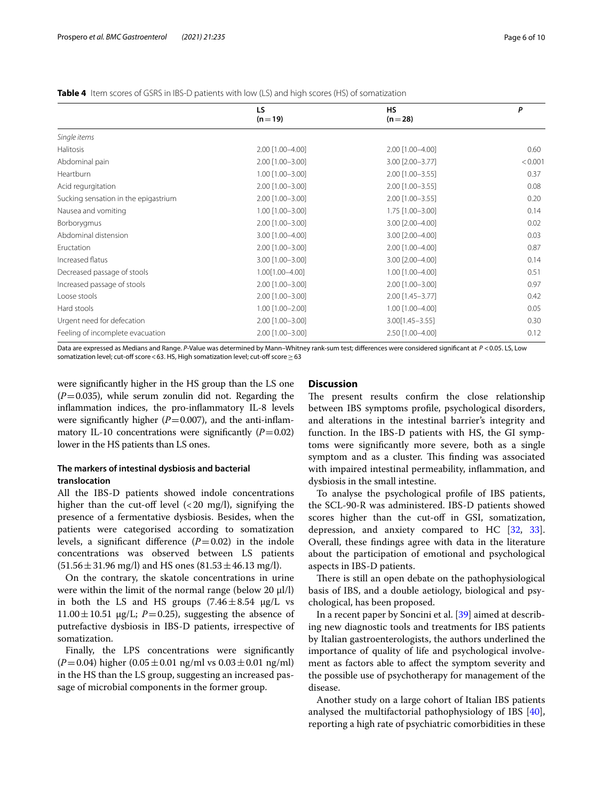<span id="page-5-0"></span>

| <b>Table 4</b> Item scores of GSRS in IBS-D patients with low (LS) and high scores (HS) of somatization |  |
|---------------------------------------------------------------------------------------------------------|--|
|---------------------------------------------------------------------------------------------------------|--|

|                                      | LS.                    | <b>HS</b>           | P       |
|--------------------------------------|------------------------|---------------------|---------|
|                                      | $(n=19)$               | $(n=28)$            |         |
| Single items                         |                        |                     |         |
| <b>Halitosis</b>                     | 2.00 [1.00-4.00]       | 2.00 [1.00-4.00]    | 0.60    |
| Abdominal pain                       | 2.00 [1.00-3.00]       | 3.00 [2.00-3.77]    | < 0.001 |
| Heartburn                            | 1.00 [1.00-3.00]       | 2.00 [1.00-3.55]    | 0.37    |
| Acid regurgitation                   | 2.00 [1.00-3.00]       | 2.00 [1.00-3.55]    | 0.08    |
| Sucking sensation in the epigastrium | 2.00 [1.00-3.00]       | 2.00 [1.00-3.55]    | 0.20    |
| Nausea and vomiting                  | 1.00 [1.00-3.00]       | 1.75 [1.00-3.00]    | 0.14    |
| Borborygmus                          | 2.00 [1.00-3.00]       | 3.00 [2.00-4.00]    | 0.02    |
| Abdominal distension                 | 3.00 [1.00-4.00]       | 3.00 [2.00-4.00]    | 0.03    |
| Eructation                           | 2.00 [1.00-3.00]       | 2.00 [1.00-4.00]    | 0.87    |
| Increased flatus                     | 3.00 [1.00-3.00]       | 3.00 [2.00-4.00]    | 0.14    |
| Decreased passage of stools          | 1.00[1.00-4.00]        | 1.00 [1.00-4.00]    | 0.51    |
| Increased passage of stools          | 2.00 [1.00-3.00]       | 2.00 [1.00-3.00]    | 0.97    |
| Loose stools                         | 2.00 [1.00-3.00]       | 2.00 [1.45-3.77]    | 0.42    |
| Hard stools                          | $1.00$ $[1.00 - 2.00]$ | 1.00 [1.00-4.00]    | 0.05    |
| Urgent need for defecation           | 2.00 [1.00-3.00]       | $3.00[1.45 - 3.55]$ | 0.30    |
| Feeling of incomplete evacuation     | 2.00 [1.00-3.00]       | 2.50 [1.00-4.00]    | 0.12    |
|                                      |                        |                     |         |

Data are expressed as Medians and Range. *P*-Value was determined by Mann–Whitney rank-sum test; diferences were considered signifcant at *P* <0.05. LS, Low somatization level; cut-off score < 63. HS, High somatization level; cut-off score  $\geq$  63

were signifcantly higher in the HS group than the LS one  $(P=0.035)$ , while serum zonulin did not. Regarding the infammation indices, the pro-infammatory IL-8 levels were significantly higher  $(P=0.007)$ , and the anti-inflammatory IL-10 concentrations were significantly  $(P=0.02)$ lower in the HS patients than LS ones.

# **The markers of intestinal dysbiosis and bacterial translocation**

All the IBS-D patients showed indole concentrations higher than the cut-off level  $\left($  < 20 mg/l), signifying the presence of a fermentative dysbiosis. Besides, when the patients were categorised according to somatization levels, a significant difference  $(P=0.02)$  in the indole concentrations was observed between LS patients  $(51.56 \pm 31.96 \text{ mg/l})$  and HS ones  $(81.53 \pm 46.13 \text{ mg/l})$ .

On the contrary, the skatole concentrations in urine were within the limit of the normal range (below  $20 \mu l/l$ ) in both the LS and HS groups  $(7.46 \pm 8.54 \text{ µg/L vs.})$  $11.00 \pm 10.51$   $\mu$ g/L; *P* = 0.25), suggesting the absence of putrefactive dysbiosis in IBS-D patients, irrespective of somatization.

Finally, the LPS concentrations were signifcantly  $(P=0.04)$  higher  $(0.05\pm0.01$  ng/ml vs  $0.03\pm0.01$  ng/ml) in the HS than the LS group, suggesting an increased passage of microbial components in the former group.

# **Discussion**

The present results confirm the close relationship between IBS symptoms profle, psychological disorders, and alterations in the intestinal barrier's integrity and function. In the IBS-D patients with HS, the GI symptoms were signifcantly more severe, both as a single symptom and as a cluster. This finding was associated with impaired intestinal permeability, infammation, and dysbiosis in the small intestine.

To analyse the psychological profle of IBS patients, the SCL-90-R was administered. IBS-D patients showed scores higher than the cut-off in GSI, somatization, depression, and anxiety compared to HC [\[32](#page-8-30), [33](#page-8-31)]. Overall, these fndings agree with data in the literature about the participation of emotional and psychological aspects in IBS-D patients.

There is still an open debate on the pathophysiological basis of IBS, and a double aetiology, biological and psychological, has been proposed.

In a recent paper by Soncini et al. [[39\]](#page-9-4) aimed at describing new diagnostic tools and treatments for IBS patients by Italian gastroenterologists, the authors underlined the importance of quality of life and psychological involvement as factors able to afect the symptom severity and the possible use of psychotherapy for management of the disease.

Another study on a large cohort of Italian IBS patients analysed the multifactorial pathophysiology of IBS [\[40](#page-9-5)], reporting a high rate of psychiatric comorbidities in these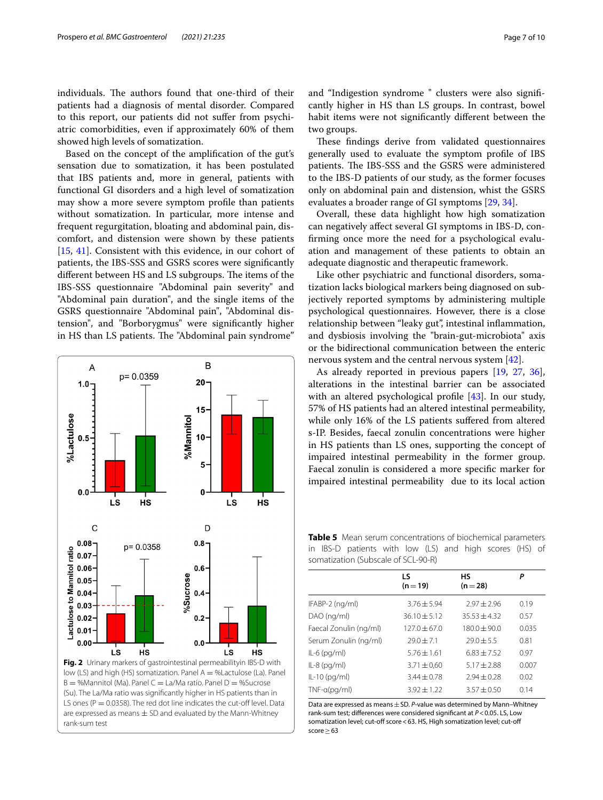individuals. The authors found that one-third of their patients had a diagnosis of mental disorder. Compared to this report, our patients did not sufer from psychiatric comorbidities, even if approximately 60% of them showed high levels of somatization.

Based on the concept of the amplifcation of the gut's sensation due to somatization, it has been postulated that IBS patients and, more in general, patients with functional GI disorders and a high level of somatization may show a more severe symptom profle than patients without somatization. In particular, more intense and frequent regurgitation, bloating and abdominal pain, discomfort, and distension were shown by these patients [[15,](#page-8-14) [41](#page-9-6)]. Consistent with this evidence, in our cohort of patients, the IBS-SSS and GSRS scores were signifcantly different between HS and LS subgroups. The items of the IBS-SSS questionnaire "Abdominal pain severity" and "Abdominal pain duration", and the single items of the GSRS questionnaire "Abdominal pain", "Abdominal distension", and "Borborygmus" were signifcantly higher in HS than LS patients. The "Abdominal pain syndrome"



and "Indigestion syndrome " clusters were also signifcantly higher in HS than LS groups. In contrast, bowel habit items were not signifcantly diferent between the two groups.

These findings derive from validated questionnaires generally used to evaluate the symptom profle of IBS patients. The IBS-SSS and the GSRS were administered to the IBS-D patients of our study, as the former focuses only on abdominal pain and distension, whist the GSRS evaluates a broader range of GI symptoms [[29,](#page-8-27) [34](#page-8-32)].

Overall, these data highlight how high somatization can negatively afect several GI symptoms in IBS-D, confrming once more the need for a psychological evaluation and management of these patients to obtain an adequate diagnostic and therapeutic framework.

Like other psychiatric and functional disorders, somatization lacks biological markers being diagnosed on subjectively reported symptoms by administering multiple psychological questionnaires. However, there is a close relationship between "leaky gut", intestinal infammation, and dysbiosis involving the "brain-gut-microbiota" axis or the bidirectional communication between the enteric nervous system and the central nervous system [\[42](#page-9-7)].

As already reported in previous papers [[19,](#page-8-18) [27](#page-8-25), [36](#page-9-1)], alterations in the intestinal barrier can be associated with an altered psychological profile [\[43](#page-9-8)]. In our study, 57% of HS patients had an altered intestinal permeability, while only 16% of the LS patients sufered from altered s-IP. Besides, faecal zonulin concentrations were higher in HS patients than LS ones, supporting the concept of impaired intestinal permeability in the former group. Faecal zonulin is considered a more specifc marker for impaired intestinal permeability due to its local action

<span id="page-6-1"></span>**Table 5** Mean serum concentrations of biochemical parameters in IBS-D patients with low (LS) and high scores (HS) of somatization (Subscale of SCL-90-R)

|                        | LS<br>$(n=19)$   | нs<br>$(n=28)$  | Ρ     |
|------------------------|------------------|-----------------|-------|
| IFABP-2 (ng/ml)        | $3.76 \pm 5.94$  | $2.97 \pm 2.96$ | 0.19  |
| DAO (ng/ml)            | $36.10 \pm 5.12$ | $35.53 + 4.32$  | 0.57  |
| Faecal Zonulin (ng/ml) | $127.0 + 67.0$   | $180.0 + 90.0$  | 0.035 |
| Serum Zonulin (ng/ml)  | $79.0 + 7.1$     | $79.0 + 5.5$    | 0.81  |
| IL-6 (pg/ml)           | $5.76 \pm 1.61$  | $6.83 + 7.52$   | 0.97  |
| IL-8 (pg/ml)           | $3.71 \pm 0.60$  | $5.17 \pm 2.88$ | 0.007 |
| IL-10 (pg/ml)          | $3.44 \pm 0.78$  | $2.94 \pm 0.28$ | 0.02  |
| $TNF-a(pq/ml)$         | $3.92 \pm 1.22$  | $3.57 + 0.50$   | 0.14  |
|                        |                  |                 |       |

<span id="page-6-0"></span>Data are expressed as means±SD. *P*-value was determined by Mann–Whitney rank-sum test; diferences were considered signifcant at *P*<0.05. LS, Low somatization level; cut-off score < 63. HS, High somatization level; cut-off score > 63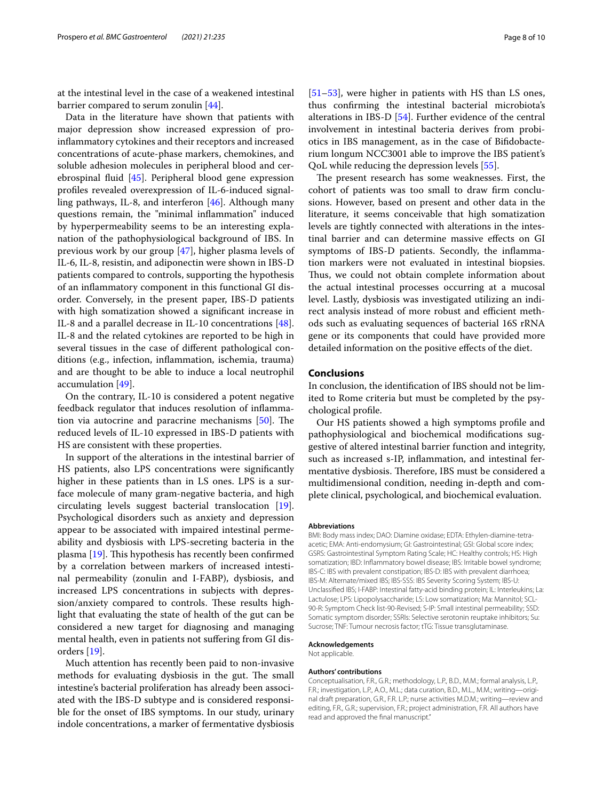at the intestinal level in the case of a weakened intestinal barrier compared to serum zonulin [[44](#page-9-9)].

Data in the literature have shown that patients with major depression show increased expression of proinfammatory cytokines and their receptors and increased concentrations of acute-phase markers, chemokines, and soluble adhesion molecules in peripheral blood and cerebrospinal fuid [[45\]](#page-9-10). Peripheral blood gene expression profles revealed overexpression of IL-6-induced signalling pathways, IL-8, and interferon [[46](#page-9-11)]. Although many questions remain, the "minimal infammation" induced by hyperpermeability seems to be an interesting explanation of the pathophysiological background of IBS. In previous work by our group [\[47\]](#page-9-12), higher plasma levels of IL-6, IL-8, resistin, and adiponectin were shown in IBS-D patients compared to controls, supporting the hypothesis of an infammatory component in this functional GI disorder. Conversely, in the present paper, IBS-D patients with high somatization showed a signifcant increase in IL-8 and a parallel decrease in IL-10 concentrations [\[48](#page-9-13)]. IL-8 and the related cytokines are reported to be high in several tissues in the case of diferent pathological conditions (e.g., infection, infammation, ischemia, trauma) and are thought to be able to induce a local neutrophil accumulation [[49\]](#page-9-14).

On the contrary, IL-10 is considered a potent negative feedback regulator that induces resolution of infammation via autocrine and paracrine mechanisms  $[50]$  $[50]$ . The reduced levels of IL-10 expressed in IBS-D patients with HS are consistent with these properties.

In support of the alterations in the intestinal barrier of HS patients, also LPS concentrations were signifcantly higher in these patients than in LS ones. LPS is a surface molecule of many gram-negative bacteria, and high circulating levels suggest bacterial translocation [\[19](#page-8-18)]. Psychological disorders such as anxiety and depression appear to be associated with impaired intestinal permeability and dysbiosis with LPS-secreting bacteria in the plasma  $[19]$  $[19]$ . This hypothesis has recently been confirmed by a correlation between markers of increased intestinal permeability (zonulin and I-FABP), dysbiosis, and increased LPS concentrations in subjects with depression/anxiety compared to controls. These results highlight that evaluating the state of health of the gut can be considered a new target for diagnosing and managing mental health, even in patients not sufering from GI disorders [\[19](#page-8-18)].

Much attention has recently been paid to non-invasive methods for evaluating dysbiosis in the gut. The small intestine's bacterial proliferation has already been associated with the IBS-D subtype and is considered responsible for the onset of IBS symptoms. In our study, urinary indole concentrations, a marker of fermentative dysbiosis [[51–](#page-9-16)[53\]](#page-9-17), were higher in patients with HS than LS ones, thus confrming the intestinal bacterial microbiota's alterations in IBS-D [\[54\]](#page-9-18). Further evidence of the central involvement in intestinal bacteria derives from probiotics in IBS management, as in the case of Bifdobacterium longum NCC3001 able to improve the IBS patient's QoL while reducing the depression levels [\[55\]](#page-9-19).

The present research has some weaknesses. First, the cohort of patients was too small to draw frm conclusions. However, based on present and other data in the literature, it seems conceivable that high somatization levels are tightly connected with alterations in the intestinal barrier and can determine massive efects on GI symptoms of IBS-D patients. Secondly, the infammation markers were not evaluated in intestinal biopsies. Thus, we could not obtain complete information about the actual intestinal processes occurring at a mucosal level. Lastly, dysbiosis was investigated utilizing an indirect analysis instead of more robust and efficient methods such as evaluating sequences of bacterial 16S rRNA gene or its components that could have provided more detailed information on the positive efects of the diet.

# **Conclusions**

In conclusion, the identifcation of IBS should not be limited to Rome criteria but must be completed by the psychological profle.

Our HS patients showed a high symptoms profle and pathophysiological and biochemical modifcations suggestive of altered intestinal barrier function and integrity, such as increased s-IP, infammation, and intestinal fermentative dysbiosis. Therefore, IBS must be considered a multidimensional condition, needing in-depth and complete clinical, psychological, and biochemical evaluation.

#### **Abbreviations**

BMI: Body mass index; DAO: Diamine oxidase; EDTA: Ethylen-diamine-tetraacetic; EMA: Anti-endomysium; GI: Gastrointestinal; GSI: Global score index; GSRS: Gastrointestinal Symptom Rating Scale; HC: Healthy controls; HS: High somatization; IBD: Infammatory bowel disease; IBS: Irritable bowel syndrome; IBS-C: IBS with prevalent constipation; IBS-D: IBS with prevalent diarrhoea; IBS-M: Alternate/mixed IBS; IBS-SSS: IBS Severity Scoring System; IBS-U: Unclassifed IBS; I-FABP: Intestinal fatty-acid binding protein; IL: Interleukins; La: Lactulose; LPS: Lipopolysaccharide; LS: Low somatization; Ma: Mannitol; SCL-90-R: Symptom Check list-90-Revised; S-IP: Small intestinal permeability; SSD: Somatic symptom disorder; SSRIs: Selective serotonin reuptake inhibitors; Su: Sucrose; TNF: Tumour necrosis factor; tTG: Tissue transglutaminase.

#### **Acknowledgements**

Not applicable.

#### **Authors' contributions**

Conceptualisation, F.R., G.R.; methodology, L.P., B.D., M.M.; formal analysis, L.P., F.R.; investigation, L.P., A.O., M.L.; data curation, B.D., M.L., M.M.; writing—original draft preparation, G.R., F.R. L.P.; nurse activities M.D.M.; writing—review and editing, F.R., G.R.; supervision, F.R.; project administration, F.R. All authors have read and approved the fnal manuscript."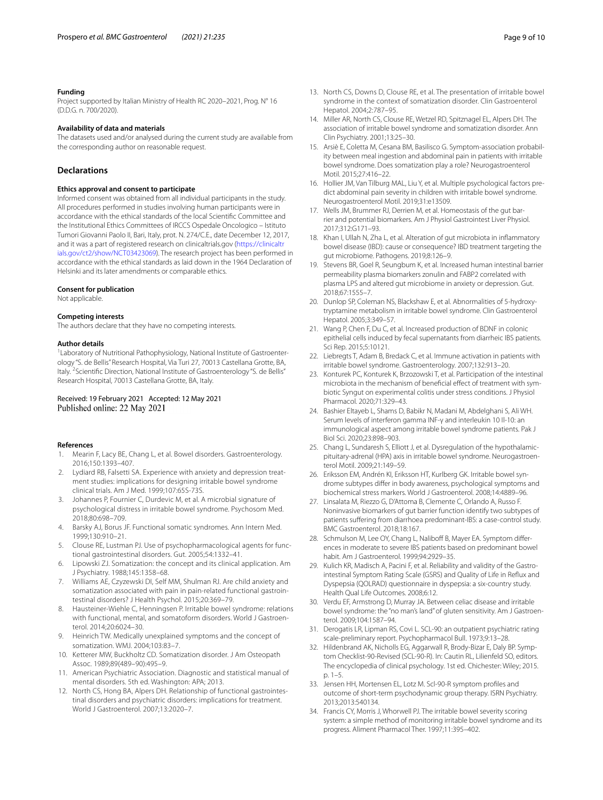# **Funding**

Project supported by Italian Ministry of Health RC 2020–2021, Prog. N° 16 (D.D.G. n. 700/2020).

#### **Availability of data and materials**

The datasets used and/or analysed during the current study are available from the corresponding author on reasonable request.

# **Declarations**

# **Ethics approval and consent to participate**

Informed consent was obtained from all individual participants in the study. All procedures performed in studies involving human participants were in accordance with the ethical standards of the local Scientifc Committee and the Institutional Ethics Committees of IRCCS Ospedale Oncologico – Istituto Tumori Giovanni Paolo II, Bari, Italy, prot. N. 274/C.E., date December 12, 2017, and it was a part of registered research on clinicaltrials.gov ([https://clinicaltr](https://clinicaltrials.gov/ct2/show/NCT03423069) [ials.gov/ct2/show/NCT03423069](https://clinicaltrials.gov/ct2/show/NCT03423069)). The research project has been performed in accordance with the ethical standards as laid down in the 1964 Declaration of Helsinki and its later amendments or comparable ethics.

#### **Consent for publication**

Not applicable.

#### **Competing interests**

The authors declare that they have no competing interests.

#### **Author details**

<sup>1</sup> Laboratory of Nutritional Pathophysiology, National Institute of Gastroenterology "S. de Bellis" Research Hospital, Via Turi 27, 70013 Castellana Grotte, BA, Italy.<sup>2</sup> Scientific Direction, National Institute of Gastroenterology "S. de Bellis" Research Hospital, 70013 Castellana Grotte, BA, Italy.

# Received: 19 February 2021 Accepted: 12 May 2021

#### **References**

- <span id="page-8-0"></span>1. Mearin F, Lacy BE, Chang L, et al. Bowel disorders. Gastroenterology. 2016;150:1393–407.
- <span id="page-8-1"></span>2. Lydiard RB, Falsetti SA. Experience with anxiety and depression treatment studies: implications for designing irritable bowel syndrome clinical trials. Am J Med. 1999;107:65S-73S.
- <span id="page-8-2"></span>3. Johannes P, Fournier C, Durdevic M, et al. A microbial signature of psychological distress in irritable bowel syndrome. Psychosom Med. 2018;80:698–709.
- <span id="page-8-3"></span>Barsky AJ, Borus JF. Functional somatic syndromes. Ann Intern Med. 1999;130:910–21.
- <span id="page-8-4"></span>5. Clouse RE, Lustman PJ. Use of psychopharmacological agents for functional gastrointestinal disorders. Gut. 2005;54:1332–41.
- <span id="page-8-5"></span>6. Lipowski ZJ. Somatization: the concept and its clinical application. Am J Psychiatry. 1988;145:1358–68.
- <span id="page-8-6"></span>7. Williams AE, Czyzewski DI, Self MM, Shulman RJ. Are child anxiety and somatization associated with pain in pain-related functional gastrointestinal disorders? J Health Psychol. 2015;20:369–79.
- <span id="page-8-7"></span>8. Hausteiner-Wiehle C, Henningsen P. Irritable bowel syndrome: relations with functional, mental, and somatoform disorders. World J Gastroenterol. 2014;20:6024–30.
- <span id="page-8-8"></span>9. Heinrich TW. Medically unexplained symptoms and the concept of somatization. WMJ. 2004;103:83–7.
- <span id="page-8-9"></span>10. Ketterer MW, Buckholtz CD. Somatization disorder. J Am Osteopath Assoc. 1989;89(489–90):495–9.
- <span id="page-8-10"></span>11. American Psychiatric Association. Diagnostic and statistical manual of mental disorders. 5th ed. Washington: APA; 2013.
- <span id="page-8-11"></span>12. North CS, Hong BA, Alpers DH. Relationship of functional gastrointestinal disorders and psychiatric disorders: implications for treatment. World J Gastroenterol. 2007;13:2020–7.
- <span id="page-8-12"></span>13. North CS, Downs D, Clouse RE, et al. The presentation of irritable bowel syndrome in the context of somatization disorder. Clin Gastroenterol Hepatol. 2004;2:787–95.
- <span id="page-8-13"></span>14. Miller AR, North CS, Clouse RE, Wetzel RD, Spitznagel EL, Alpers DH. The association of irritable bowel syndrome and somatization disorder. Ann Clin Psychiatry. 2001;13:25–30.
- <span id="page-8-14"></span>15. Arsiè E, Coletta M, Cesana BM, Basilisco G. Symptom-association probability between meal ingestion and abdominal pain in patients with irritable bowel syndrome. Does somatization play a role? Neurogastroenterol Motil. 2015;27:416–22.
- <span id="page-8-15"></span>16. Hollier JM, Van Tilburg MAL, Liu Y, et al. Multiple psychological factors predict abdominal pain severity in children with irritable bowel syndrome. Neurogastroenterol Motil. 2019;31:e13509.
- <span id="page-8-16"></span>17. Wells JM, Brummer RJ, Derrien M, et al. Homeostasis of the gut barrier and potential biomarkers. Am J Physiol Gastrointest Liver Physiol. 2017;312:G171–93.
- <span id="page-8-17"></span>18. Khan I, Ullah N, Zha L, et al. Alteration of gut microbiota in infammatory bowel disease (IBD): cause or consequence? IBD treatment targeting the gut microbiome. Pathogens. 2019;8:126–9.
- <span id="page-8-18"></span>19. Stevens BR, Goel R, Seungbum K, et al. Increased human intestinal barrier permeability plasma biomarkers zonulin and FABP2 correlated with plasma LPS and altered gut microbiome in anxiety or depression. Gut. 2018;67:1555–7.
- <span id="page-8-19"></span>20. Dunlop SP, Coleman NS, Blackshaw E, et al. Abnormalities of 5-hydroxytryptamine metabolism in irritable bowel syndrome. Clin Gastroenterol Hepatol. 2005;3:349–57.
- <span id="page-8-20"></span>21. Wang P, Chen F, Du C, et al. Increased production of BDNF in colonic epithelial cells induced by fecal supernatants from diarrheic IBS patients. Sci Rep. 2015;5:10121.
- <span id="page-8-21"></span>22. Liebregts T, Adam B, Bredack C, et al. Immune activation in patients with irritable bowel syndrome. Gastroenterology. 2007;132:913–20.
- 23. Konturek PC, Konturek K, Brzozowski T, et al. Participation of the intestinal microbiota in the mechanism of benefcial efect of treatment with symbiotic Syngut on experimental colitis under stress conditions. J Physiol Pharmacol. 2020;71:329–43.
- <span id="page-8-22"></span>24. Bashier Eltayeb L, Shams D, Babikr N, Madani M, Abdelghani S, Ali WH. Serum levels of interferon gamma INF-γ and interleukin 10 Il-10: an immunological aspect among irritable bowel syndrome patients. Pak J Biol Sci. 2020;23:898–903.
- <span id="page-8-23"></span>25. Chang L, Sundaresh S, Elliott J, et al. Dysregulation of the hypothalamicpituitary-adrenal (HPA) axis in irritable bowel syndrome. Neurogastroenterol Motil. 2009;21:149–59.
- <span id="page-8-24"></span>26. Eriksson EM, Andrén KI, Eriksson HT, Kurlberg GK. Irritable bowel syndrome subtypes difer in body awareness, psychological symptoms and biochemical stress markers. World J Gastroenterol. 2008;14:4889–96.
- <span id="page-8-25"></span>27. Linsalata M, Riezzo G, D'Attoma B, Clemente C, Orlando A, Russo F. Noninvasive biomarkers of gut barrier function identify two subtypes of patients sufering from diarrhoea predominant-IBS: a case-control study. BMC Gastroenterol. 2018;18:167.
- <span id="page-8-26"></span>28. Schmulson M, Lee OY, Chang L, Naliboff B, Mayer EA. Symptom differences in moderate to severe IBS patients based on predominant bowel habit. Am J Gastroenterol. 1999;94:2929–35.
- <span id="page-8-27"></span>29. Kulich KR, Madisch A, Pacini F, et al. Reliability and validity of the Gastrointestinal Symptom Rating Scale (GSRS) and Quality of Life in Refux and Dyspepsia (QOLRAD) questionnaire in dyspepsia: a six-country study. Health Qual Life Outcomes. 2008;6:12.
- <span id="page-8-28"></span>30. Verdu EF, Armstrong D, Murray JA. Between celiac disease and irritable bowel syndrome: the "no man's land" of gluten sensitivity. Am J Gastroenterol. 2009;104:1587–94.
- <span id="page-8-29"></span>31. Derogatis LR, Lipman RS, Covi L. SCL-90: an outpatient psychiatric rating scale-preliminary report. Psychopharmacol Bull. 1973;9:13–28.
- <span id="page-8-30"></span>32. Hildenbrand AK, Nicholls EG, Aggarwall R, Brody-Bizar E, Daly BP. Symptom Checklist-90-Revised (SCL-90-R). In: Cautin RL, Lilienfeld SO, editors. The encyclopedia of clinical psychology. 1st ed. Chichester: Wiley; 2015. p. 1–5.
- <span id="page-8-31"></span>33. Jensen HH, Mortensen EL, Lotz M. Scl-90-R symptom profles and outcome of short-term psychodynamic group therapy. ISRN Psychiatry. 2013;2013:540134.
- <span id="page-8-32"></span>34. Francis CY, Morris J, Whorwell PJ. The irritable bowel severity scoring system: a simple method of monitoring irritable bowel syndrome and its progress. Aliment Pharmacol Ther. 1997;11:395–402.